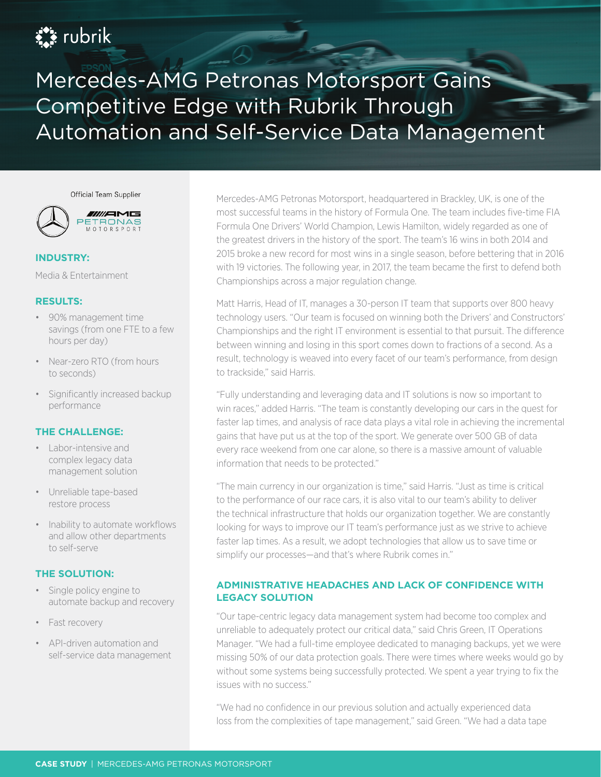# **Ext** rubrik

Mercedes-AMG Petronas Motorsport Gains Competitive Edge with Rubrik Through Automation and Self-Service Data Management

Official Team Supplier



#### **INDUSTRY:**

Media & Entertainment

#### **RESULTS:**

- 90% management time savings (from one FTE to a few hours per day)
- Near-zero RTO (from hours to seconds)
- Significantly increased backup performance

## **THE CHALLENGE:**

- Labor-intensive and complex legacy data management solution
- Unreliable tape-based restore process
- Inability to automate workflows and allow other departments to self-serve

## **THE SOLUTION:**

- Single policy engine to automate backup and recovery
- Fast recovery
- API-driven automation and self-service data management

Mercedes-AMG Petronas Motorsport, headquartered in Brackley, UK, is one of the most successful teams in the history of Formula One. The team includes five-time FIA Formula One Drivers' World Champion, Lewis Hamilton, widely regarded as one of the greatest drivers in the history of the sport. The team's 16 wins in both 2014 and 2015 broke a new record for most wins in a single season, before bettering that in 2016 with 19 victories. The following year, in 2017, the team became the first to defend both Championships across a major regulation change.

Matt Harris, Head of IT, manages a 30-person IT team that supports over 800 heavy technology users. "Our team is focused on winning both the Drivers' and Constructors' Championships and the right IT environment is essential to that pursuit. The difference between winning and losing in this sport comes down to fractions of a second. As a result, technology is weaved into every facet of our team's performance, from design to trackside," said Harris.

"Fully understanding and leveraging data and IT solutions is now so important to win races," added Harris. "The team is constantly developing our cars in the quest for faster lap times, and analysis of race data plays a vital role in achieving the incremental gains that have put us at the top of the sport. We generate over 500 GB of data every race weekend from one car alone, so there is a massive amount of valuable information that needs to be protected."

"The main currency in our organization is time," said Harris. "Just as time is critical to the performance of our race cars, it is also vital to our team's ability to deliver the technical infrastructure that holds our organization together. We are constantly looking for ways to improve our IT team's performance just as we strive to achieve faster lap times. As a result, we adopt technologies that allow us to save time or simplify our processes—and that's where Rubrik comes in."

# **ADMINISTRATIVE HEADACHES AND LACK OF CONFIDENCE WITH LEGACY SOLUTION**

"Our tape-centric legacy data management system had become too complex and unreliable to adequately protect our critical data," said Chris Green, IT Operations Manager. "We had a full-time employee dedicated to managing backups, yet we were missing 50% of our data protection goals. There were times where weeks would go by without some systems being successfully protected. We spent a year trying to fix the issues with no success."

"We had no confidence in our previous solution and actually experienced data loss from the complexities of tape management," said Green. "We had a data tape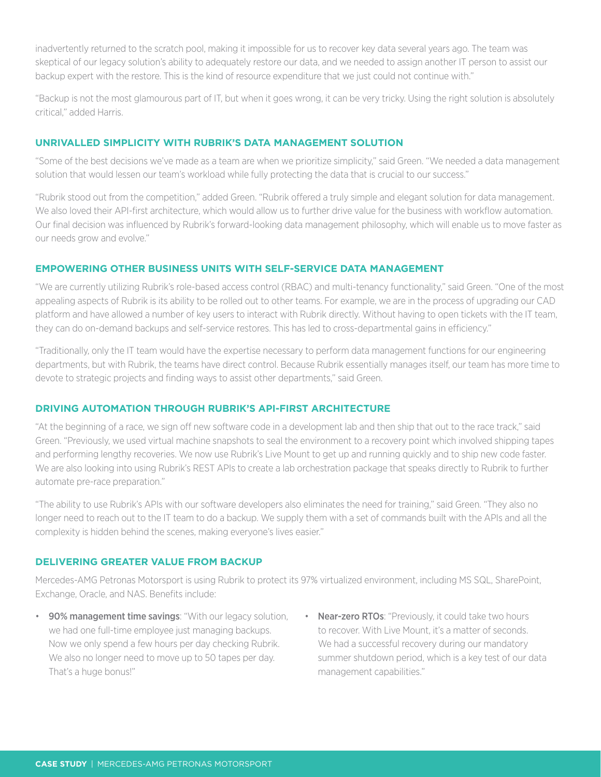inadvertently returned to the scratch pool, making it impossible for us to recover key data several years ago. The team was skeptical of our legacy solution's ability to adequately restore our data, and we needed to assign another IT person to assist our backup expert with the restore. This is the kind of resource expenditure that we just could not continue with."

"Backup is not the most glamourous part of IT, but when it goes wrong, it can be very tricky. Using the right solution is absolutely critical," added Harris.

#### **UNRIVALLED SIMPLICITY WITH RUBRIK'S DATA MANAGEMENT SOLUTION**

"Some of the best decisions we've made as a team are when we prioritize simplicity," said Green. "We needed a data management solution that would lessen our team's workload while fully protecting the data that is crucial to our success."

"Rubrik stood out from the competition," added Green. "Rubrik offered a truly simple and elegant solution for data management. We also loved their API-first architecture, which would allow us to further drive value for the business with workflow automation. Our final decision was influenced by Rubrik's forward-looking data management philosophy, which will enable us to move faster as our needs grow and evolve."

#### **EMPOWERING OTHER BUSINESS UNITS WITH SELF-SERVICE DATA MANAGEMENT**

"We are currently utilizing Rubrik's role-based access control (RBAC) and multi-tenancy functionality," said Green. "One of the most appealing aspects of Rubrik is its ability to be rolled out to other teams. For example, we are in the process of upgrading our CAD platform and have allowed a number of key users to interact with Rubrik directly. Without having to open tickets with the IT team, they can do on-demand backups and self-service restores. This has led to cross-departmental gains in efficiency."

"Traditionally, only the IT team would have the expertise necessary to perform data management functions for our engineering departments, but with Rubrik, the teams have direct control. Because Rubrik essentially manages itself, our team has more time to devote to strategic projects and finding ways to assist other departments," said Green.

#### **DRIVING AUTOMATION THROUGH RUBRIK'S API-FIRST ARCHITECTURE**

"At the beginning of a race, we sign off new software code in a development lab and then ship that out to the race track," said Green. "Previously, we used virtual machine snapshots to seal the environment to a recovery point which involved shipping tapes and performing lengthy recoveries. We now use Rubrik's Live Mount to get up and running quickly and to ship new code faster. We are also looking into using Rubrik's REST APIs to create a lab orchestration package that speaks directly to Rubrik to further automate pre-race preparation."

"The ability to use Rubrik's APIs with our software developers also eliminates the need for training," said Green. "They also no longer need to reach out to the IT team to do a backup. We supply them with a set of commands built with the APIs and all the complexity is hidden behind the scenes, making everyone's lives easier."

#### **DELIVERING GREATER VALUE FROM BACKUP**

Mercedes-AMG Petronas Motorsport is using Rubrik to protect its 97% virtualized environment, including MS SQL, SharePoint, Exchange, Oracle, and NAS. Benefits include:

- 90% management time savings: "With our legacy solution, we had one full-time employee just managing backups. Now we only spend a few hours per day checking Rubrik. We also no longer need to move up to 50 tapes per day. That's a huge bonus!"
- Near-zero RTOs: "Previously, it could take two hours to recover. With Live Mount, it's a matter of seconds. We had a successful recovery during our mandatory summer shutdown period, which is a key test of our data management capabilities."